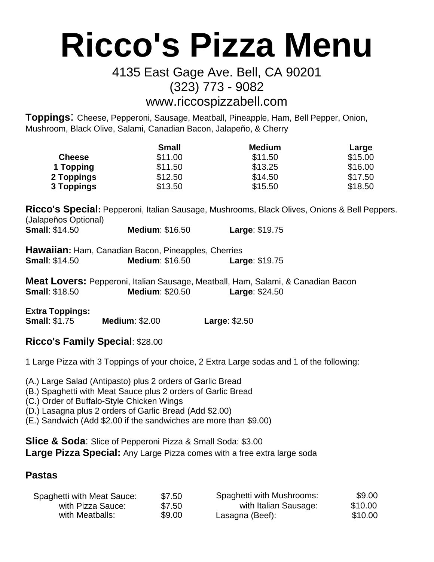# **Ricco's Pizza Menu**

## 4135 East Gage Ave. Bell, CA 90201 (323) 773 - 9082

# [www.riccospizzabell.com](http://www.riccospizzabell.com/)

**Toppings**: Cheese, Pepperoni, Sausage, Meatball, Pineapple, Ham, Bell Pepper, Onion, Mushroom, Black Olive, Salami, Canadian Bacon, Jalapeño, & Cherry

|               | <b>Small</b> | <b>Medium</b> | Large   |
|---------------|--------------|---------------|---------|
| <b>Cheese</b> | \$11.00      | \$11.50       | \$15.00 |
| 1 Topping     | \$11.50      | \$13.25       | \$16.00 |
| 2 Toppings    | \$12.50      | \$14.50       | \$17.50 |
| 3 Toppings    | \$13.50      | \$15.50       | \$18.50 |

**Ricco's Special:** Pepperoni, Italian Sausage, Mushrooms, Black Olives, Onions & Bell Peppers. (Jalapeños Optional) **Small**: \$14.50 **Medium**: \$16.50 **Large**: \$19.75

|                       | Hawaiian: Ham, Canadian Bacon, Pineapples, Cherries |                       |
|-----------------------|-----------------------------------------------------|-----------------------|
| <b>Small: \$14.50</b> | <b>Medium: \$16.50</b>                              | <b>Large: \$19.75</b> |

|                       | Meat Lovers: Pepperoni, Italian Sausage, Meatball, Ham, Salami, & Canadian Bacon |                                    |  |
|-----------------------|----------------------------------------------------------------------------------|------------------------------------|--|
| <b>Small: \$18.50</b> | <b>Medium: \$20.50</b>                                                           | <b>Large: <math>\$24.50</math></b> |  |

**Extra Toppings:**

**Small**: \$1.75 **Medium**: \$2.00 **Large**: \$2.50

## **Ricco's Family Special**: \$28.00

1 Large Pizza with 3 Toppings of your choice, 2 Extra Large sodas and 1 of the following:

(A.) Large Salad (Antipasto) plus 2 orders of Garlic Bread

- (B.) Spaghetti with Meat Sauce plus 2 orders of Garlic Bread
- (C.) Order of Buffalo-Style Chicken Wings
- (D.) Lasagna plus 2 orders of Garlic Bread (Add \$2.00)
- (E.) Sandwich (Add \$2.00 if the sandwiches are more than \$9.00)

**Slice & Soda**: Slice of Pepperoni Pizza & Small Soda: \$3.00 **Large Pizza Special:** Any Large Pizza comes with a free extra large soda

### **Pastas**

| Spaghetti with Meat Sauce: | \$7.50 | Spaghetti with Mushrooms: | \$9.00  |
|----------------------------|--------|---------------------------|---------|
| with Pizza Sauce:          | \$7.50 | with Italian Sausage:     | \$10.00 |
| with Meatballs:            | \$9.00 | Lasagna (Beef):           | \$10.00 |